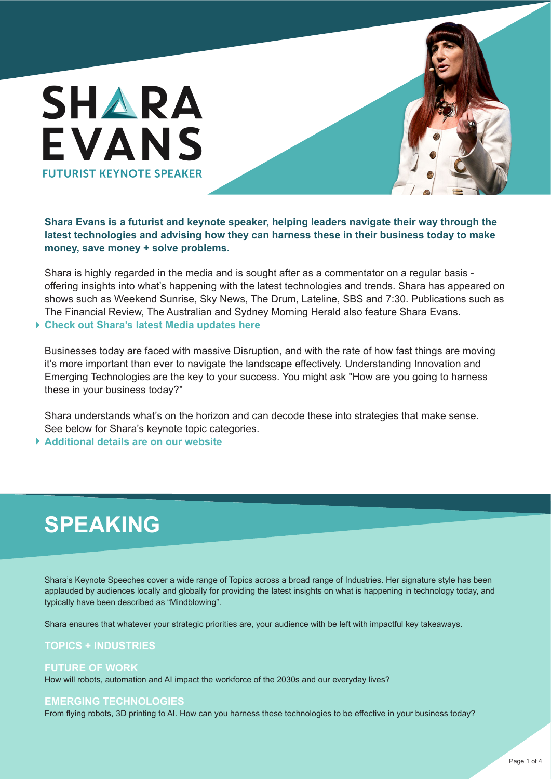

**Shara Evans is a futurist and keynote speaker, helping leaders navigate their way through the latest technologies and advising how they can harness these in their business today to make money, save money + solve problems.**

Shara is highly regarded in the media and is sought after as a commentator on a regular basis offering insights into what's happening with the latest technologies and trends. Shara has appeared on shows such as Weekend Sunrise, Sky News, The Drum, Lateline, SBS and 7:30. Publications such as The Financial Review, The Australian and Sydney Morning Herald also feature Shara Evans.

#### **[Check out Shara's latest Media updates here](http://www.sharaevans.com/media)**

Businesses today are faced with massive Disruption, and with the rate of how fast things are moving it's more important than ever to navigate the landscape effectively. Understanding Innovation and Emerging Technologies are the key to your success. You might ask "How are you going to harness these in your business today?"

Shara understands what's on the horizon and can decode these into strategies that make sense. See below for Shara's keynote topic categories.

**[Additional details are on our website](http://www.sharaevans.com/speaking)**

## **SPEAKING**

Shara's Keynote Speeches cover a wide range of Topics across a broad range of Industries. Her signature style has been applauded by audiences locally and globally for providing the latest insights on what is happening in technology today, and typically have been described as "Mindblowing".

Shara ensures that whatever your strategic priorities are, your audience with be left with impactful key takeaways.

#### **TOPICS + INDUSTRIES**

#### **FUTURE OF WORK**

How will robots, automation and AI impact the workforce of the 2030s and our everyday lives?

#### **EMERGING TECHNOLOGIES**

From flying robots, 3D printing to AI. How can you harness these technologies to be effective in your business today?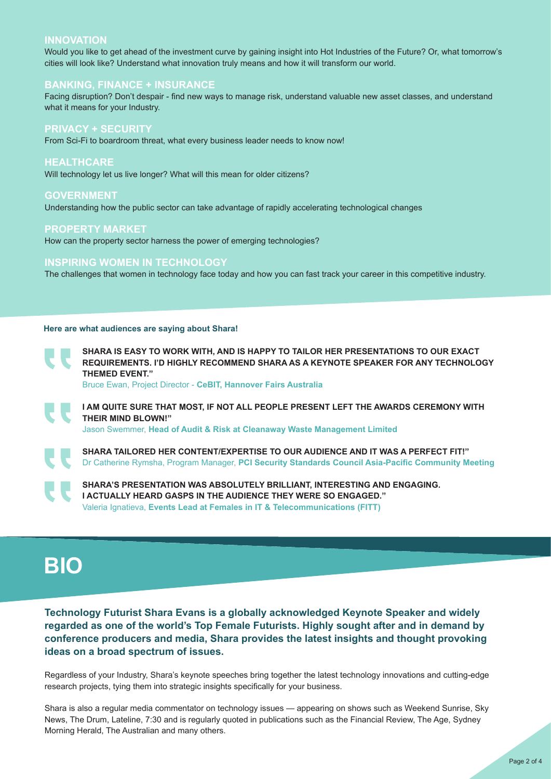#### **INNOVATION**

Would you like to get ahead of the investment curve by gaining insight into Hot Industries of the Future? Or, what tomorrow's cities will look like? Understand what innovation truly means and how it will transform our world.

#### **BANKING, FINANCE + INSURANCE**

Facing disruption? Don't despair - find new ways to manage risk, understand valuable new asset classes, and understand what it means for your Industry.

#### **PRIVACY + SECURITY**

From Sci-Fi to boardroom threat, what every business leader needs to know now!

#### **HEALTHCARE**

Will technology let us live longer? What will this mean for older citizens?

#### **GOVERNMENT**

Understanding how the public sector can take advantage of rapidly accelerating technological changes

#### **PROPERTY MARKET**

How can the property sector harness the power of emerging technologies?

#### **INSPIRING WOMEN IN TECHNOLOGY**

The challenges that women in technology face today and how you can fast track your career in this competitive industry.

#### **Here are what audiences are saying about Shara!**

**SHARA IS EASY TO WORK WITH, AND IS HAPPY TO TAILOR HER PRESENTATIONS TO OUR EXACT REQUIREMENTS. I'D HIGHLY RECOMMEND SHARA AS A KEYNOTE SPEAKER FOR ANY TECHNOLOGY THEMED EVENT.ˮ**

Bruce Ewan, Project Director - **CeBIT, Hannover Fairs Australia**

**I AM QUITE SURE THAT MOST, IF NOT ALL PEOPLE PRESENT LEFT THE AWARDS CEREMONY WITH THEIR MIND BLOWN!ˮ** Jason Swemmer, **Head of Audit & Risk at Cleanaway Waste Management Limited**

**SHARA TAILORED HER CONTENT/EXPERTISE TO OUR AUDIENCE AND IT WAS A PERFECT FIT!"** Dr Catherine Rymsha, Program Manager, **PCI Security Standards Council Asia-Pacific Community Meeting**

**SHARA'S PRESENTATION WAS ABSOLUTELY BRILLIANT, INTERESTING AND ENGAGING. I ACTUALLY HEARD GASPS IN THE AUDIENCE THEY WERE SO ENGAGED."** Valeria Ignatieva, **Events Lead at Females in IT & Telecommunications (FITT)**

## **BIO**

**Technology Futurist Shara Evans is a globally acknowledged Keynote Speaker and widely regarded as one of the world's Top Female Futurists. Highly sought after and in demand by conference producers and media, Shara provides the latest insights and thought provoking ideas on a broad spectrum of issues.**

Regardless of your Industry, Shara's keynote speeches bring together the latest technology innovations and cutting-edge research projects, tying them into strategic insights specifically for your business.

Shara is also a regular media commentator on technology issues — appearing on shows such as Weekend Sunrise, Sky News, The Drum, Lateline, 7:30 and is regularly quoted in publications such as the Financial Review, The Age, Sydney Morning Herald, The Australian and many others.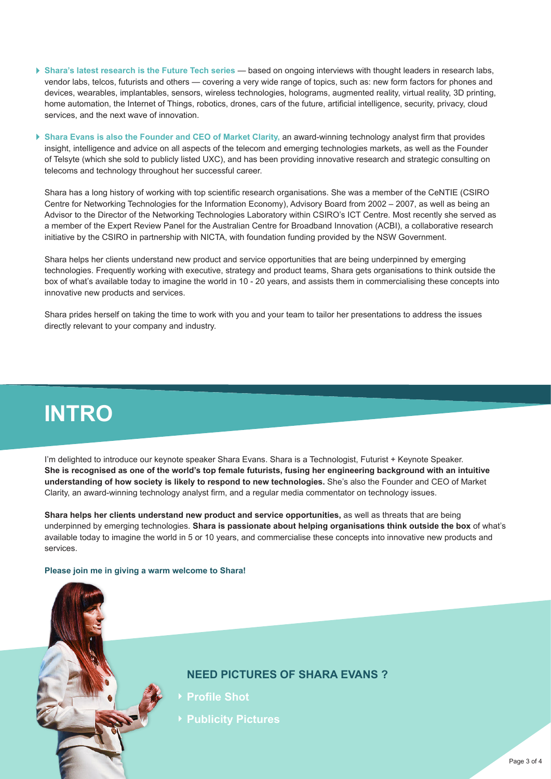- **[Shara's latest research is the Future Tech series](http://www.sharaevans.com/blog)** based on ongoing interviews with thought leaders in research labs, vendor labs, telcos, futurists and others — covering a very wide range of topics, such as: new form factors for phones and devices, wearables, implantables, sensors, wireless technologies, holograms, augmented reality, virtual reality, 3D printing, home automation, the Internet of Things, robotics, drones, cars of the future, artificial intelligence, security, privacy, cloud services, and the next wave of innovation.
- **[Shara Evans is also the Founder and CEO of Market Clarity,](http://marketclarity.com.au)** an award-winning technology analyst firm that provides insight, intelligence and advice on all aspects of the telecom and emerging technologies markets, as well as the Founder of Telsyte (which she sold to publicly listed UXC), and has been providing innovative research and strategic consulting on telecoms and technology throughout her successful career.

Shara has a long history of working with top scientific research organisations. She was a member of the CeNTIE (CSIRO Centre for Networking Technologies for the Information Economy), Advisory Board from 2002 – 2007, as well as being an Advisor to the Director of the Networking Technologies Laboratory within CSIRO's ICT Centre. Most recently she served as a member of the Expert Review Panel for the Australian Centre for Broadband Innovation (ACBI), a collaborative research initiative by the CSIRO in partnership with NICTA, with foundation funding provided by the NSW Government.

Shara helps her clients understand new product and service opportunities that are being underpinned by emerging technologies. Frequently working with executive, strategy and product teams, Shara gets organisations to think outside the box of what's available today to imagine the world in 10 - 20 years, and assists them in commercialising these concepts into innovative new products and services.

Shara prides herself on taking the time to work with you and your team to tailor her presentations to address the issues directly relevant to your company and industry.

## **INTRO**

I'm delighted to introduce our keynote speaker Shara Evans. Shara is a Technologist, Futurist + Keynote Speaker. **She is recognised as one of the world's top female futurists, fusing her engineering background with an intuitive understanding of how society is likely to respond to new technologies.** She's also the Founder and CEO of Market Clarity, an award-winning technology analyst firm, and a regular media commentator on technology issues.

**Shara helps her clients understand new product and service opportunities,** as well as threats that are being underpinned by emerging technologies. **Shara is passionate about helping organisations think outside the box** of what's available today to imagine the world in 5 or 10 years, and commercialise these concepts into innovative new products and services.

#### **Please join me in giving a warm welcome to Shara!**

### **NEED PICTURES OF SHARA EVANS ?**

- **[Profile Shot](http://www.dropbox.com/s/ur2dpsizffthut9/Shara%20IMG_6789_E.jpg?dl=0)**
- **[Publicity Pictures](http://www.dropbox.com/sh/353ze0occ7n729s/AAD-q9UhXSY8fLsgHO2b0KF0a?dl=0)**